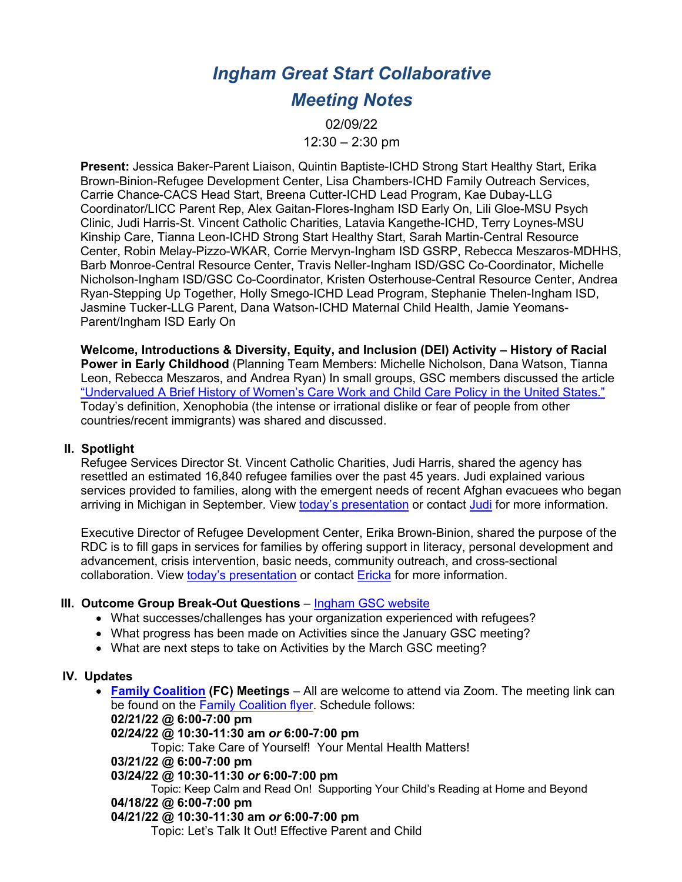# *Ingham Great Start Collaborative*

## *Meeting Notes*

02/09/22  $12:30 - 2:30$  pm

**Present:** Jessica Baker-Parent Liaison, Quintin Baptiste-ICHD Strong Start Healthy Start, Erika Brown-Binion-Refugee Development Center, Lisa Chambers-ICHD Family Outreach Services, Carrie Chance-CACS Head Start, Breena Cutter-ICHD Lead Program, Kae Dubay-LLG Coordinator/LICC Parent Rep, Alex Gaitan-Flores-Ingham ISD Early On, Lili Gloe-MSU Psych Clinic, Judi Harris-St. Vincent Catholic Charities, Latavia Kangethe-ICHD, Terry Loynes-MSU Kinship Care, Tianna Leon-ICHD Strong Start Healthy Start, Sarah Martin-Central Resource Center, Robin Melay-Pizzo-WKAR, Corrie Mervyn-Ingham ISD GSRP, Rebecca Meszaros-MDHHS, Barb Monroe-Central Resource Center, Travis Neller-Ingham ISD/GSC Co-Coordinator, Michelle Nicholson-Ingham ISD/GSC Co-Coordinator, Kristen Osterhouse-Central Resource Center, Andrea Ryan-Stepping Up Together, Holly Smego-ICHD Lead Program, Stephanie Thelen-Ingham ISD, Jasmine Tucker-LLG Parent, Dana Watson-ICHD Maternal Child Health, Jamie Yeomans-Parent/Ingham ISD Early On

**Welcome, Introductions & Diversity, Equity, and Inclusion (DEI) Activity – History of Racial Power in Early Childhood** (Planning Team Members: Michelle Nicholson, Dana Watson, Tianna Leon, Rebecca Meszaros, and Andrea Ryan) In small groups, GSC members discussed the article "Undervalued A Brief History of Women's Care Work and Child Care Policy in the United States." Today's definition, Xenophobia (the intense or irrational dislike or fear of people from other countries/recent immigrants) was shared and discussed.

#### **II. Spotlight**

Refugee Services Director St. Vincent Catholic Charities, Judi Harris, shared the agency has resettled an estimated 16,840 refugee families over the past 45 years. Judi explained various services provided to families, along with the emergent needs of recent Afghan evacuees who began arriving in Michigan in September. View today's presentation or contact Judi for more information.

Executive Director of Refugee Development Center, Erika Brown-Binion, shared the purpose of the RDC is to fill gaps in services for families by offering support in literacy, personal development and advancement, crisis intervention, basic needs, community outreach, and cross-sectional collaboration. View today's presentation or contact Ericka for more information.

#### **III. Outcome Group Break-Out Questions** – Ingham GSC website

- What successes/challenges has your organization experienced with refugees?
- What progress has been made on Activities since the January GSC meeting?
- What are next steps to take on Activities by the March GSC meeting?

#### **IV. Updates**

• **Family Coalition (FC) Meetings** – All are welcome to attend via Zoom. The meeting link can be found on the Family Coalition flyer. Schedule follows: **02/21/22 @ 6:00-7:00 pm 02/24/22 @ 10:30-11:30 am** *or* **6:00-7:00 pm** Topic: Take Care of Yourself! Your Mental Health Matters! **03/21/22 @ 6:00-7:00 pm 03/24/22 @ 10:30-11:30** *or* **6:00-7:00 pm**

Topic: Keep Calm and Read On! Supporting Your Child's Reading at Home and Beyond **04/18/22 @ 6:00-7:00 pm**

#### **04/21/22 @ 10:30-11:30 am** *or* **6:00-7:00 pm**

Topic: Let's Talk It Out! Effective Parent and Child